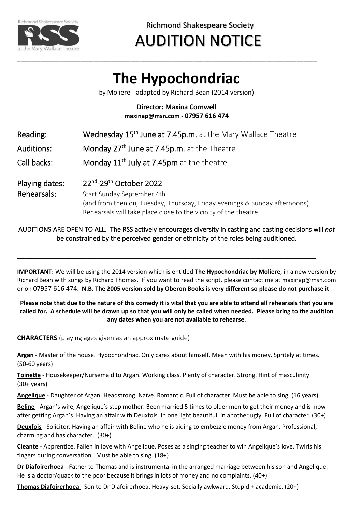

Richmond Shakespeare Society

# AUDITION NOTICE

# **The Hypochondriac**

**\_\_\_\_\_\_\_\_\_\_\_\_\_\_\_\_\_\_\_\_\_\_\_\_\_\_\_\_\_\_\_\_\_\_\_\_\_\_\_\_\_\_\_\_\_\_\_\_\_\_\_\_\_\_\_\_\_\_\_\_\_\_\_\_\_\_\_\_\_\_\_\_\_\_\_\_\_\_\_\_\_\_\_\_\_\_\_\_\_\_**

by Moliere - adapted by Richard Bean (2014 version)

### **Director: Maxina Cornwell [maxinap@msn.com](mailto:maxinap@msn.com) - 07957 616 474**

| Reading:                      | Wednesday 15 <sup>th</sup> June at 7.45p.m. at the Mary Wallace Theatre                                                                                                                               |
|-------------------------------|-------------------------------------------------------------------------------------------------------------------------------------------------------------------------------------------------------|
| Auditions:                    | Monday 27th June at 7.45p.m. at the Theatre                                                                                                                                                           |
| Call backs:                   | Monday 11 <sup>th</sup> July at 7.45pm at the theatre                                                                                                                                                 |
| Playing dates:<br>Rehearsals: | 22nd-29th October 2022<br>Start Sunday September 4th<br>(and from then on, Tuesday, Thursday, Friday evenings & Sunday afternoons)<br>Rehearsals will take place close to the vicinity of the theatre |

### AUDITIONS ARE OPEN TO ALL. The RSS actively encourages diversity in casting and casting decisions will *not* be constrained by the perceived gender or ethnicity of the roles being auditioned.

**\_\_\_\_\_\_\_\_\_\_\_\_\_\_\_\_\_\_\_\_\_\_\_\_\_\_\_\_\_\_\_\_\_\_\_\_\_\_\_\_\_\_\_\_\_\_\_\_\_\_\_\_\_\_\_\_\_\_\_\_\_\_\_\_\_\_\_\_\_\_\_\_\_\_\_\_\_\_\_\_\_\_**

**IMPORTANT:** We will be using the 2014 version which is entitled **The Hypochondriac by Moliere**, in a new version by Richard Bean with songs by Richard Thomas. If you want to read the script, please contact me at [maxinap@msn.com](mailto:maxinap@msn.com) or on 07957 616 474. **N.B. The 2005 version sold by Oberon Books is very different so please do not purchase it**.

#### **Please note that due to the nature of this comedy it is vital that you are able to attend all rehearsals that you are called for. A schedule will be drawn up so that you will only be called when needed. Please bring to the audition any dates when you are not available to rehearse.**

**CHARACTERS** (playing ages given as an approximate guide)

**Argan** - Master of the house. Hypochondriac. Only cares about himself. Mean with his money. Spritely at times. (50-60 years)

**Toinette** - Housekeeper/Nursemaid to Argan. Working class. Plenty of character. Strong. Hint of masculinity (30+ years)

**Angelique** - Daughter of Argan. Headstrong. Naïve. Romantic. Full of character. Must be able to sing. (16 years)

**Beline** - Argan's wife, Angelique's step mother. Been married 5 times to older men to get their money and is now after getting Argan's. Having an affair with Deuxfois. In one light beautiful, in another ugly. Full of character. (30+)

**Deuxfois** - Solicitor. Having an affair with Beline who he is aiding to embezzle money from Argan. Professional, charming and has character. (30+)

**Cleante** - Apprentice. Fallen in love with Angelique. Poses as a singing teacher to win Angelique's love. Twirls his fingers during conversation. Must be able to sing. (18+)

**Dr Diafoirerhoea** - Father to Thomas and is instrumental in the arranged marriage between his son and Angelique. He is a doctor/quack to the poor because it brings in lots of money and no complaints. (40+)

**Thomas Diafoirerhoea** - Son to Dr Diafoirerhoea. Heavy-set. Socially awkward. Stupid + academic. (20+)